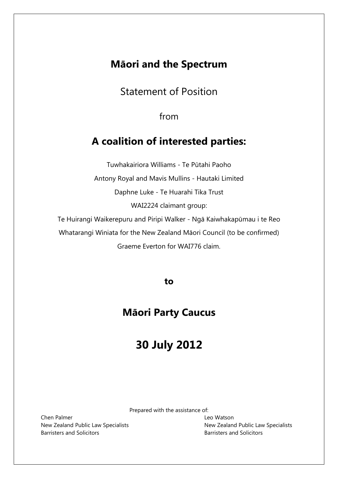## **Māori and the Spectrum**

Statement of Position

from

# **A coalition of interested parties:**

Tuwhakairiora Williams - Te Pūtahi Paoho Antony Royal and Mavis Mullins - Hautaki Limited Daphne Luke - Te Huarahi Tika Trust WAI2224 claimant group: Te Huirangi Waikerepuru and Piripi Walker - Ngā Kaiwhakapūmau i te Reo Whatarangi Winiata for the New Zealand Māori Council (to be confirmed)

Graeme Everton for WAI776 claim.

**to**

# **Māori Party Caucus**

# **30 July 2012**

Prepared with the assistance of:

Chen Palmer **Leo Watson** Barristers and Solicitors Barristers and Solicitors

New Zealand Public Law Specialists New Zealand Public Law Specialists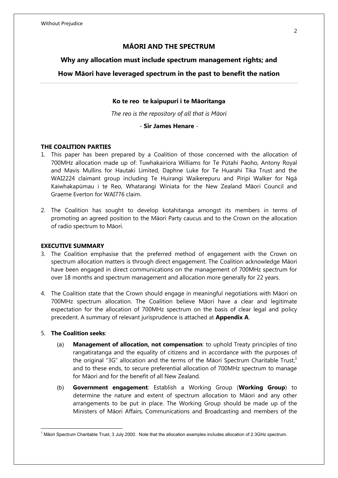#### **MĀORI AND THE SPECTRUM**

#### **Why any allocation must include spectrum management rights; and**

#### **How Māori have leveraged spectrum in the past to benefit the nation**

#### **Ko te reo te kaipupuri i te Māoritanga**

*The reo is the repository of all that is Māori*

#### - **Sir James Henare** -

#### **THE COALITION PARTIES**

- 1. This paper has been prepared by a Coalition of those concerned with the allocation of 700MHz allocation made up of: Tuwhakairiora Williams for Te Pūtahi Paoho, Antony Royal and Mavis Mullins for Hautaki Limited, Daphne Luke for Te Huarahi Tika Trust and the WAI2224 claimant group including Te Huirangi Waikerepuru and Piripi Walker for Ngā Kaiwhakapūmau i te Reo, Whatarangi Winiata for the New Zealand Māori Council and Graeme Everton for WAI776 claim.
- 2. The Coalition has sought to develop kotahitanga amongst its members in terms of promoting an agreed position to the Māori Party caucus and to the Crown on the allocation of radio spectrum to Māori.

#### **EXECUTIVE SUMMARY**

- 3. The Coalition emphasise that the preferred method of engagement with the Crown on spectrum allocation matters is through direct engagement. The Coalition acknowledge Māori have been engaged in direct communications on the management of 700MHz spectrum for over 18 months and spectrum management and allocation more generally for 22 years.
- 4. The Coalition state that the Crown should engage in meaningful negotiations with Māori on 700MHz spectrum allocation. The Coalition believe Māori have a clear and legitimate expectation for the allocation of 700MHz spectrum on the basis of clear legal and policy precedent. A summary of relevant jurisprudence is attached at **Appendix A**.

#### 5. **The Coalition seeks**:

 $\overline{a}$ 

- (a) **Management of allocation, not compensation**: to uphold Treaty principles of tino rangatiratanga and the equality of citizens and in accordance with the purposes of the original "3G" allocation and the terms of the Māori Spectrum Charitable Trust; $1<sup>1</sup>$ and to these ends, to secure preferential allocation of 700MHz spectrum to manage for Māori and for the benefit of all New Zealand.
- (b) **Government engagement**: Establish a Working Group (**Working Group**) to determine the nature and extent of spectrum allocation to Māori and any other arrangements to be put in place. The Working Group should be made up of the Ministers of Māori Affairs, Communications and Broadcasting and members of the

<sup>1</sup> Māori Spectrum Charitable Trust, 3 July 2000. Note that the allocation examples includes allocation of 2.3GHz spectrum.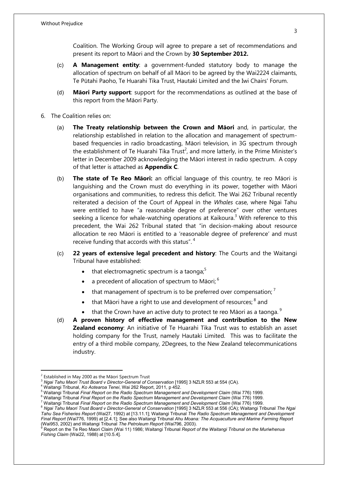Coalition. The Working Group will agree to prepare a set of recommendations and present its report to Māori and the Crown by **30 September 2012.**

- (c) **A Management entity**: a government-funded statutory body to manage the allocation of spectrum on behalf of all Māori to be agreed by the Wai2224 claimants, Te Pūtahi Paoho, Te Huarahi Tika Trust, Hautaki Limited and the Iwi Chairs' Forum.
- (d) **Māori Party support**: support for the recommendations as outlined at the base of this report from the Māori Party.
- 6. The Coalition relies on:
	- (a) **The Treaty relationship between the Crown and Māori** and, in particular, the relationship established in relation to the allocation and management of spectrumbased frequencies in radio broadcasting, Māori television, in 3G spectrum through the establishment of Te Huarahi Tika Trust<sup>2</sup>, and more latterly, in the Prime Minister's letter in December 2009 acknowledging the Māori interest in radio spectrum. A copy of that letter is attached as **Appendix C**.
	- (b) **The state of Te Reo Māori:** an official language of this country, te reo Māori is languishing and the Crown must do everything in its power, together with Māori organisations and communities, to redress this deficit. The Wai 262 Tribunal recently reiterated a decision of the Court of Appeal in the *Whales* case, where Ngai Tahu were entitled to have "a reasonable degree of preference" over other ventures seeking a licence for whale-watching operations at Kaikoura.<sup>3</sup> With reference to this precedent, the Wai 262 Tribunal stated that "in decision-making about resource allocation te reo Māori is entitled to a 'reasonable degree of preference' and must receive funding that accords with this status".<sup>4</sup>
	- (c) **22 years of extensive legal precedent and history**: The Courts and the Waitangi Tribunal have established:
		- $\bullet$  that electromagnetic spectrum is a taonga;<sup>5</sup>
		- a precedent of allocation of spectrum to Māori;  $^{6}$
		- that management of spectrum is to be preferred over compensation:  $<sup>7</sup>$ </sup>
		- $\bullet$  that Māori have a right to use and development of resources;  $^8$  and
		- that the Crown have an active duty to protect te reo Māori as a taonga.  $9$
	- (d) **A proven history of effective management and contribution to the New Zealand economy**: An initiative of Te Huarahi Tika Trust was to establish an asset holding company for the Trust, namely Hautaki Limited. This was to facilitate the entry of a third mobile company, 2Degrees, to the New Zealand telecommunications industry.

 $\overline{a}$ 

 $2$  Established in May 2000 as the Māori Spectrum Trust

<sup>&</sup>lt;sup>3</sup> Ngai Tahu Maori Trust Board v Director-General of Conservation [1995] 3 NZLR 553 at 554 (CA).

<sup>4</sup> Waitangi Tribunal, *Ko Aotearoa Tenei*, Wai 262 Report, 2011, p 452.

<sup>5</sup> Waitangi Tribunal *Final Report on the Radio Spectrum Management and Development Claim* (Wai 776) 1999.

<sup>6</sup> Waitangi Tribunal *Final Report on the Radio Spectrum Management and Development Claim* (Wai 776) 1999.

<sup>7</sup> Waitangi Tribunal *Final Report on the Radio Spectrum Management and Development Claim* (Wai 776) 1999.

<sup>8</sup> *Ngai Tahu Maori Trust Board v Director-General of Conservation* [1995] 3 NZLR 553 at 556 (CA); Waitangi Tribunal *The Ngai Tahu Sea Fisheries Report* (Wai27*,* 1992) at [13.11.1]; Waitangi Tribunal *The Radio Spectrum Management and Development Final Report* (Wai776, 1999) at [2.4.1]; See also Waitangi Tribunal *Ahu Moana: The Acquaculture and Marine Farming Report* 

<sup>(</sup>Wai953, 2002) and Waitangi Tribunal *The Petroleum Report* (Wai796, 2003). <sup>9</sup> Report on the Te Reo Maori Claim (Wai 11) 1986; Waitangi Tribunal *Report of the Waitangi Tribunal on the Muriwhenua Fishing Claim* (Wai22, 1988) at [10.5.4].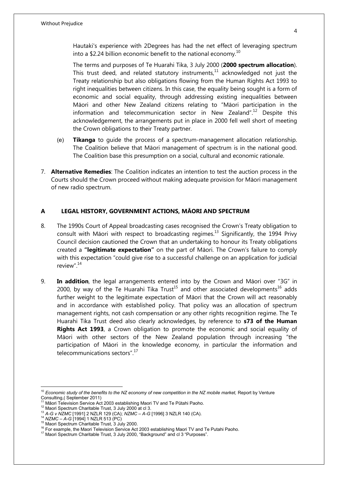Hautaki's experience with 2Degrees has had the net effect of leveraging spectrum into a \$2.24 billion economic benefit to the national economy.<sup>10</sup>

The terms and purposes of Te Huarahi Tika, 3 July 2000 (**2000 spectrum allocation**). This trust deed, and related statutory instruments, $11$  acknowledged not just the Treaty relationship but also obligations flowing from the Human Rights Act 1993 to right inequalities between citizens. In this case, the equality being sought is a form of economic and social equality, through addressing existing inequalities between Māori and other New Zealand citizens relating to "Māori participation in the information and telecommunication sector in New Zealand".<sup>12</sup> Despite this acknowledgement, the arrangements put in place in 2000 fell well short of meeting the Crown obligations to their Treaty partner.

- (e) **Tikanga** to guide the process of a spectrum-management allocation relationship. The Coalition believe that Māori management of spectrum is in the national good. The Coalition base this presumption on a social, cultural and economic rationale.
- 7. **Alternative Remedies**: The Coalition indicates an intention to test the auction process in the Courts should the Crown proceed without making adequate provision for Māori management of new radio spectrum.

#### **A LEGAL HISTORY, GOVERNMENT ACTIONS, MĀORI AND SPECTRUM**

- 8. The 1990s Court of Appeal broadcasting cases recognised the Crown's Treaty obligation to consult with Māori with respect to broadcasting regimes.<sup>13</sup> Significantly, the 1994 Privy Council decision cautioned the Crown that an undertaking to honour its Treaty obligations created a **"legitimate expectation"** on the part of Māori. The Crown's failure to comply with this expectation "could give rise to a successful challenge on an application for judicial review".<sup>14</sup>
- 9. **In addition**, the legal arrangements entered into by the Crown and Māori over "3G" in 2000, by way of the Te Huarahi Tika Trust<sup>15</sup> and other associated developments<sup>16</sup> adds further weight to the legitimate expectation of Māori that the Crown will act reasonably and in accordance with established policy. That policy was an allocation of spectrum management rights, not cash compensation or any other rights recognition regime. The Te Huarahi Tika Trust deed also clearly acknowledges, by reference to **s73 of the Human Rights Act 1993**, a Crown obligation to promote the economic and social equality of Māori with other sectors of the New Zealand population through increasing "the participation of Māori in the knowledge economy, in particular the information and telecommunications sectors".<sup>17</sup>

1

<sup>10</sup> *Economic study of the benefits to the NZ economy of new competition in the NZ mobile market,* Report by Venture Consulting,( September 2011)

<sup>&</sup>lt;sup>11</sup> Māori Television Service Act 2003 establishing Maori TV and Te Pūtahi Paoho.

<sup>12</sup> Maori Spectrum Charitable Trust, 3 July 2000 at cl 3.

<sup>13</sup> *A-G v NZMC* [1991] 2 NZLR 129 (CA); *NZMC – A-G* [1996] 3 NZLR 140 (CA).

<sup>14</sup> *NZMC – A-G* [1994] 1 NZLR 513 (PC)

<sup>15</sup> Maori Spectrum Charitable Trust, 3 July 2000.

<sup>&</sup>lt;sup>16</sup> For example, the Maori Television Service Act 2003 establishing Maori TV and Te Putahi Paoho.

<sup>17</sup> Maori Spectrum Charitable Trust, 3 July 2000, "Background" and cl 3 "Purposes".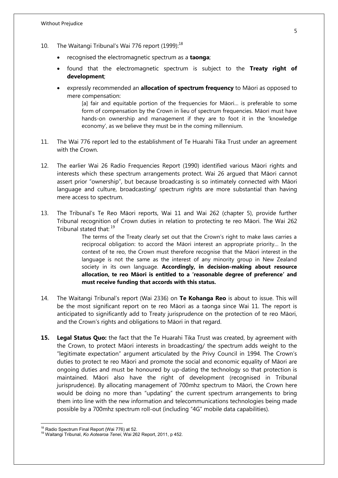- 10. The Waitangi Tribunal's Wai 776 report (1999):<sup>18</sup>
	- recognised the electromagnetic spectrum as a **taonga**;
	- found that the electromagnetic spectrum is subject to the **Treaty right of development**;
	- expressly recommended an **allocation of spectrum frequency** to Māori as opposed to mere compensation:

[a] fair and equitable portion of the frequencies for Māori… is preferable to some form of compensation by the Crown in lieu of spectrum frequencies. Māori must have hands-on ownership and management if they are to foot it in the 'knowledge economy', as we believe they must be in the coming millennium.

- 11. The Wai 776 report led to the establishment of Te Huarahi Tika Trust under an agreement with the Crown.
- 12. The earlier Wai 26 Radio Frequencies Report (1990) identified various Māori rights and interests which these spectrum arrangements protect. Wai 26 argued that Māori cannot assert prior "ownership", but because broadcasting is so intimately connected with Māori language and culture, broadcasting/ spectrum rights are more substantial than having mere access to spectrum.
- 13. The Tribunal's Te Reo Māori reports, Wai 11 and Wai 262 (chapter 5), provide further Tribunal recognition of Crown duties in relation to protecting te reo Māori. The Wai 262 Tribunal stated that: <sup>19</sup>

The terms of the Treaty clearly set out that the Crown's right to make laws carries a reciprocal obligation: to accord the Māori interest an appropriate priority… In the context of te reo, the Crown must therefore recognise that the Māori interest in the language is not the same as the interest of any minority group in New Zealand society in its own language. **Accordingly, in decision-making about resource allocation, te reo Māori is entitled to a 'reasonable degree of preference' and must receive funding that accords with this status.** 

- 14. The Waitangi Tribunal's report (Wai 2336) on **Te Kohanga Reo** is about to issue. This will be the most significant report on te reo Māori as a taonga since Wai 11. The report is anticipated to significantly add to Treaty jurisprudence on the protection of te reo Māori, and the Crown's rights and obligations to Māori in that regard.
- **15. Legal Status Quo:** the fact that the Te Huarahi Tika Trust was created, by agreement with the Crown, to protect Māori interests in broadcasting/ the spectrum adds weight to the "legitimate expectation" argument articulated by the Privy Council in 1994. The Crown's duties to protect te reo Māori and promote the social and economic equality of Māori are ongoing duties and must be honoured by up-dating the technology so that protection is maintained. Māori also have the right of development (recognised in Tribunal jurisprudence). By allocating management of 700mhz spectrum to Māori, the Crown here would be doing no more than "updating" the current spectrum arrangements to bring them into line with the new information and telecommunications technologies being made possible by a 700mhz spectrum roll-out (including "4G" mobile data capabilities).

1

<sup>&</sup>lt;sup>18</sup> Radio Spectrum Final Report (Wai 776) at 52.

<sup>19</sup> Waitangi Tribunal, *Ko Aotearoa Tenei*, Wai 262 Report, 2011, p 452.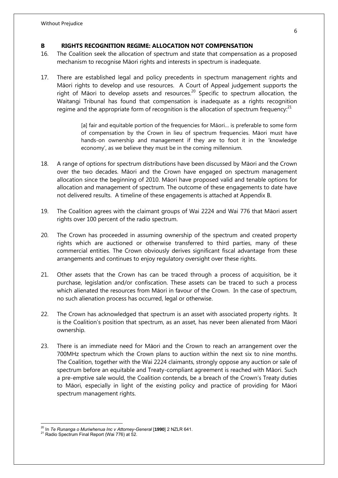#### **B RIGHTS RECOGNITION REGIME: ALLOCATION NOT COMPENSATION**

- 16. The Coalition seek the allocation of spectrum and state that compensation as a proposed mechanism to recognise Māori rights and interests in spectrum is inadequate.
- 17. There are established legal and policy precedents in spectrum management rights and Māori rights to develop and use resources. A Court of Appeal judgement supports the right of Māori to develop assets and resources.<sup>20</sup> Specific to spectrum allocation, the Waitangi Tribunal has found that compensation is inadequate as a rights recognition regime and the appropriate form of recognition is the allocation of spectrum frequency: $^{21}$

[a] fair and equitable portion of the frequencies for Māori… is preferable to some form of compensation by the Crown in lieu of spectrum frequencies. Māori must have hands-on ownership and management if they are to foot it in the 'knowledge economy', as we believe they must be in the coming millennium.

- 18. A range of options for spectrum distributions have been discussed by Māori and the Crown over the two decades. Māori and the Crown have engaged on spectrum management allocation since the beginning of 2010. Māori have proposed valid and tenable options for allocation and management of spectrum. The outcome of these engagements to date have not delivered results. A timeline of these engagements is attached at Appendix B.
- 19. The Coalition agrees with the claimant groups of Wai 2224 and Wai 776 that Māori assert rights over 100 percent of the radio spectrum.
- 20. The Crown has proceeded in assuming ownership of the spectrum and created property rights which are auctioned or otherwise transferred to third parties, many of these commercial entities. The Crown obviously derives significant fiscal advantage from these arrangements and continues to enjoy regulatory oversight over these rights.
- 21. Other assets that the Crown has can be traced through a process of acquisition, be it purchase, legislation and/or confiscation. These assets can be traced to such a process which alienated the resources from Māori in favour of the Crown. In the case of spectrum, no such alienation process has occurred, legal or otherwise.
- 22. The Crown has acknowledged that spectrum is an asset with associated property rights. It is the Coalition's position that spectrum, as an asset, has never been alienated from Māori ownership.
- 23. There is an immediate need for Māori and the Crown to reach an arrangement over the 700MHz spectrum which the Crown plans to auction within the next six to nine months. The Coalition, together with the Wai 2224 claimants, strongly oppose any auction or sale of spectrum before an equitable and Treaty-compliant agreement is reached with Māori. Such a pre-emptive sale would, the Coalition contends, be a breach of the Crown's Treaty duties to Māori, especially in light of the existing policy and practice of providing for Māori spectrum management rights.

<sup>1</sup> <sup>20</sup> In *Te Runanga o Muriwhenua Inc v Attorney-General* [**1990**] 2 NZLR 641.

<sup>&</sup>lt;sup>21</sup> Radio Spectrum Final Report (Wai 776) at 52.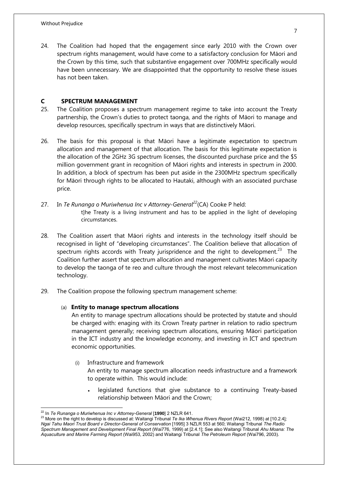24. The Coalition had hoped that the engagement since early 2010 with the Crown over spectrum rights management, would have come to a satisfactory conclusion for Māori and the Crown by this time, such that substantive engagement over 700MHz specifically would have been unnecessary. We are disappointed that the opportunity to resolve these issues has not been taken.

#### **C SPECTRUM MANAGEMENT**

- 25. The Coalition proposes a spectrum management regime to take into account the Treaty partnership, the Crown's duties to protect taonga, and the rights of Māori to manage and develop resources, specifically spectrum in ways that are distinctively Māori.
- 26. The basis for this proposal is that Māori have a legitimate expectation to spectrum allocation and management of that allocation. The basis for this legitimate expectation is the allocation of the 2GHz 3G spectrum licenses, the discounted purchase price and the \$5 million government grant in recognition of Māori rights and interests in spectrum in 2000. In addition, a block of spectrum has been put aside in the 2300MHz spectrum specifically for Māori through rights to be allocated to Hautaki, although with an associated purchase price.
- 27. In *Te Runanga o Muriwhenua Inc v Attorney-General<sup>22</sup>*(CA) Cooke P held: t]he Treaty is a living instrument and has to be applied in the light of developing circumstances.
- 28. The Coalition assert that Māori rights and interests in the technology itself should be recognised in light of "developing circumstances". The Coalition believe that allocation of spectrum rights accords with Treaty jurispridence and the right to development.<sup>23</sup> The Coalition further assert that spectrum allocation and management cultivates Māori capacity to develop the taonga of te reo and culture through the most relevant telecommunication technology.
- 29. The Coalition propose the following spectrum management scheme:

#### (a) **Entity to manage spectrum allocations**

An entity to manage spectrum allocations should be protected by statute and should be charged with: enaging with its Crown Treaty partner in relation to radio spectrum management generally; receiving spectrum allocations, ensuring Māori participation in the ICT industry and the knowledge economy, and investing in ICT and spectrum economic opportunities.

(i) Infrastructure and framework

An entity to manage spectrum allocation needs infrastructure and a framework to operate within. This would include:

 legislated functions that give substance to a continuing Treaty-based relationship between Māori and the Crown;

 $\overline{a}$ <sup>22</sup> In *Te Runanga o Muriwhenua Inc v Attorney-General* [**1990**] 2 NZLR 641.

<sup>23</sup> More on the right to develop is discussed at: Waitangi Tribunal *Te Ika Whenua Rivers Report* (Wai212, 1998) at [10.2.4]*; Ngai Tahu Maori Trust Board v Director-General of Conservation* [1995] 3 NZLR 553 at 560; Waitangi Tribunal *The Radio Spectrum Management and Development Final Report* (Wai776, 1999) at [2.4.1]; See also Waitangi Tribunal *Ahu Moana: The Aquaculture and Marine Farming Report* (Wai953, 2002) and Waitangi Tribunal *The Petroleum Report* (Wai796, 2003).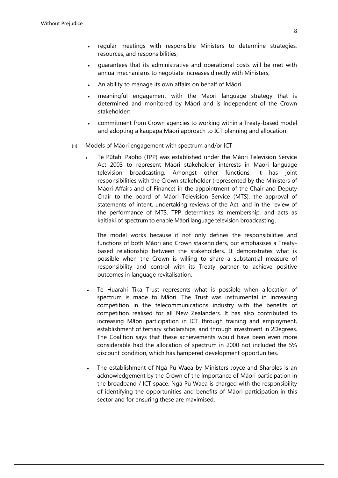- regular meetings with responsible Ministers to determine strategies, resources, and responsibilities;
- guarantees that its administrative and operational costs will be met with annual mechanisms to negotiate increases directly with Ministers;
- An ability to manage its own affairs on behalf of Māori
- meaningful engagement with the Māori language strategy that is determined and monitored by Māori and is independent of the Crown stakeholder;
- commitment from Crown agencies to working within a Treaty-based model and adopting a kaupapa Māori approach to ICT planning and allocation.
- (ii) Models of Māori engagement with spectrum and/or ICT
	- Te Pūtahi Paoho (TPP) was established under the Māori Television Service Act 2003 to represent Māori stakeholder interests in Māori language television broadcasting. Amongst other functions, it has joint responsibilities with the Crown stakeholder (represented by the Ministers of Māori Affairs and of Finance) in the appointment of the Chair and Deputy Chair to the board of Māori Television Service (MTS), the approval of statements of intent, undertaking reviews of the Act, and in the review of the performance of MTS. TPP determines its membership, and acts as kaitiaki of spectrum to enable Māori language television broadcasting.

 The model works because it not only defines the responsibilities and functions of both Māori and Crown stakeholders, but emphasises a Treatybased relationship between the stakeholders. It demonstrates what is possible when the Crown is willing to share a substantial measure of responsibility and control with its Treaty partner to achieve positive outcomes in language revitalisation.

- Te Huarahi Tika Trust represents what is possible when allocation of spectrum is made to Māori. The Trust was instrumental in increasing competition in the telecommunications industry with the benefits of competition realised for all New Zealanders. It has also contributed to increasing Māori participation in ICT through training and employment, establishment of tertiary scholarships, and through investment in 2Degrees. The Coalition says that these achievements would have been even more considerable had the allocation of spectrum in 2000 not included the 5% discount condition, which has hampered development opportunities.
- The establishment of Ngā Pū Waea by Ministers Joyce and Sharples is an acknowledgement by the Crown of the importance of Māori participation in the broadband / ICT space. Ngā Pū Waea is charged with the responsibility of identifying the opportunities and benefits of Māori participation in this sector and for ensuring these are maximised.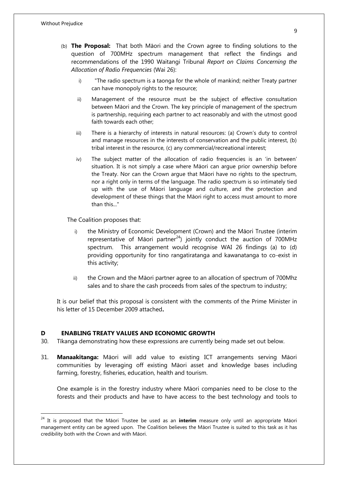$\overline{a}$ 

- (b) **The Proposal:** That both Māori and the Crown agree to finding solutions to the question of 700MHz spectrum management that reflect the findings and recommendations of the 1990 Waitangi Tribunal *Report on Claims Concerning the Allocation of Radio Frequencies* (Wai 26):
	- i) "The radio spectrum is a taonga for the whole of mankind; neither Treaty partner can have monopoly rights to the resource;
	- ii) Management of the resource must be the subject of effective consultation between Māori and the Crown. The key principle of management of the spectrum is partnership, requiring each partner to act reasonably and with the utmost good faith towards each other;
	- iii) There is a hierarchy of interests in natural resources: (a) Crown's duty to control and manage resources in the interests of conservation and the public interest, (b) tribal interest in the resource, (c) any commercial/recreational interest;
	- iv) The subject matter of the allocation of radio frequencies is an 'in between' situation. It is not simply a case where Māori can argue prior ownership before the Treaty. Nor can the Crown argue that Māori have no rights to the spectrum, nor a right only in terms of the language. The radio spectrum is so intimately tied up with the use of Māori language and culture, and the protection and development of these things that the Māori right to access must amount to more than this..."

The Coalition proposes that:

- i) the Ministry of Economic Development (Crown) and the Māori Trustee (interim representative of Māori partner $^{24}$ ) jointly conduct the auction of 700MHz spectrum. This arrangement would recognise WAI 26 findings (a) to (d) providing opportunity for tino rangatiratanga and kawanatanga to co-exist in this activity;
- ii) the Crown and the Māori partner agree to an allocation of spectrum of 700Mhz sales and to share the cash proceeds from sales of the spectrum to industry;

It is our belief that this proposal is consistent with the comments of the Prime Minister in his letter of 15 December 2009 attached**.**

#### **D ENABLING TREATY VALUES AND ECONOMIC GROWTH**

- 30. Tīkanga demonstrating how these expressions are currently being made set out below.
- 31. **Manaakitanga:** Māori will add value to existing ICT arrangements serving Māori communities by leveraging off existing Māori asset and knowledge bases including farming, forestry, fisheries, education, health and tourism.

One example is in the forestry industry where Māori companies need to be close to the forests and their products and have to have access to the best technology and tools to

<sup>24</sup> It is proposed that the Māori Trustee be used as an **interim** measure only until an appropriate Māori management entity can be agreed upon. The Coalition believes the Māori Trustee is suited to this task as it has credibility both with the Crown and with Māori.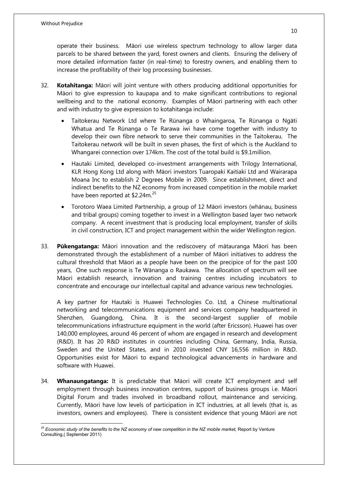operate their business. Māori use wireless spectrum technology to allow larger data parcels to be shared between the yard, forest owners and clients. Ensuring the delivery of more detailed information faster (in real-time) to forestry owners, and enabling them to increase the profitability of their log processing businesses.

- 32. **Kotahitanga:** Māori will joint venture with others producing additional opportunities for Māori to give expression to kaupapa and to make significant contributions to regional wellbeing and to the national economy. Examples of Māori partnering with each other and with industry to give expression to kotahitanga include:
	- Taitokerau Network Ltd where Te Rūnanga o Whaingaroa, Te Rūnanga o Ngāti Whatua and Te Rūnanga o Te Rarawa iwi have come together with industry to develop their own fibre network to serve their communities in the Taitokerau. The Taitokerau network will be built in seven phases, the first of which is the Auckland to Whangarei connection over 174km. The cost of the total build is \$9.1million.
	- Hautaki Limited, developed co-investment arrangements with Trilogy International, KLR Hong Kong Ltd along with Māori investors Tuaropaki Kaitiaki Ltd and Wairarapa Moana Inc to establish 2 Degrees Mobile in 2009. Since establishment, direct and indirect benefits to the NZ economy from increased competition in the mobile market have been reported at  $$2.24m.<sup>25</sup>$
	- Torotoro Waea Limited Partnership, a group of 12 Māori investors (whānau, business and tribal groups) coming together to invest in a Wellington based layer two network company. A recent investment that is producing local employment, transfer of skills in civil construction, ICT and project management within the wider Wellington region.
- 33. **Pūkengatanga:** Māori innovation and the rediscovery of mātauranga Māori has been demonstrated through the establishment of a number of Māori initiatives to address the cultural threshold that Māori as a people have been on the precipice of for the past 100 years, One such response is Te Wānanga o Raukawa. The allocation of spectrum will see Māori establish research, innovation and training centres including incubators to concentrate and encourage our intellectual capital and advance various new technologies.

A key partner for Hautaki is Huawei Technologies Co. Ltd, a Chinese [multinational](http://en.wikipedia.org/wiki/Multinational_corporation) networking and [telecommunications equipment](http://en.wikipedia.org/wiki/Telecommunications_equipment) and services company headquartered in [Shenzhen,](http://en.wikipedia.org/wiki/Shenzhen) [Guangdong,](http://en.wikipedia.org/wiki/Guangdong) [China.](http://en.wikipedia.org/wiki/China) It is the second-largest supplier of [mobile](http://en.wikipedia.org/wiki/Mobile_telephony)  [telecommunications](http://en.wikipedia.org/wiki/Mobile_telephony) infrastructure equipment in the world (after [Ericsson\)](http://en.wikipedia.org/wiki/Ericsson). Huawei has over 140,000 employees, around 46 percent of whom are engaged in research and development (R&D). It has 20 R&D institutes in countries including China, Germany, India, Russia, Sweden and the United States, and in 2010 invested CNY 16,556 million in R&D. Opportunities exist for Māori to expand technological advancements in hardware and software with Huawei.

34. **Whanaungatanga:** It is predictable that Māori will create ICT employment and self employment through business innovation centres, support of business groups i.e. Māori Digital Forum and trades involved in broadband rollout, maintenance and servicing. Currently, Māori have low levels of participation in ICT industries, at all levels (that is, as investors, owners and employees). There is consistent evidence that young Māori are not

<sup>1</sup> *<sup>25</sup> Economic study of the benefits to the NZ economy of new competition in the NZ mobile market,* Report by Venture Consulting,( September 2011)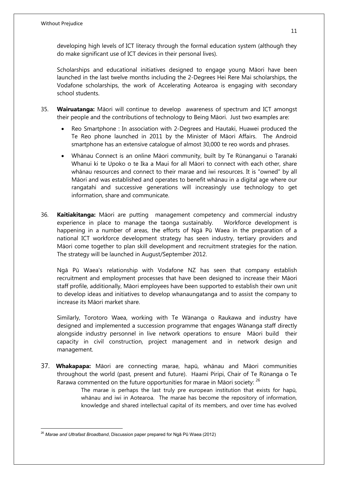developing high levels of ICT literacy through the formal education system (although they do make significant use of ICT devices in their personal lives).

Scholarships and educational initiatives designed to engage young Māori have been launched in the last twelve months including the 2-Degrees Hei Rere Mai scholarships, the Vodafone scholarships, the work of Accelerating Aotearoa is engaging with secondary school students.

- 35. **Wairuatanga:** Māori will continue to develop awareness of spectrum and ICT amongst their people and the contributions of technology to Being Māori. Just two examples are:
	- Reo Smartphone : In association with 2-Degrees and Hautaki, Huawei produced the Te Reo phone launched in 2011 by the Minister of Māori Affairs. The Android smartphone has an extensive catalogue of almost 30,000 te reo words and phrases.
	- Whānau Connect is an online Māori community, built by Te Rūnanganui o Taranaki Whanui ki te Upoko o te Ika a Maui for all Māori to connect with each other, share whānau resources and connect to their marae and iwi resources. It is "owned" by all Māori and was established and operates to benefit whānau in a digital age where our rangatahi and successive generations will increasingly use technology to get information, share and communicate.
- 36. **Kaitiakitanga:** Māori are putting management competency and commercial industry experience in place to manage the taonga sustainably. Workforce development is happening in a number of areas, the efforts of Ngā Pū Waea in the preparation of a national ICT workforce development strategy has seen industry, tertiary providers and Māori come together to plan skill development and recruitment strategies for the nation. The strategy will be launched in August/September 2012.

Ngā Pū Waea's relationship with Vodafone NZ has seen that company establish recruitment and employment processes that have been designed to increase their Māori staff profile, additionally, Māori employees have been supported to establish their own unit to develop ideas and initiatives to develop whanaungatanga and to assist the company to increase its Māori market share.

Similarly, Torotoro Waea, working with Te Wānanga o Raukawa and industry have designed and implemented a succession programme that engages Wānanga staff directly alongside industry personnel in live network operations to ensure Māori build their capacity in civil construction, project management and in network design and management.

37. **Whakapapa:** Māori are connecting marae, hapū, whānau and Māori communities throughout the world (past, present and future). Haami Piripi, Chair of Te Rūnanga o Te Rarawa commented on the future opportunities for marae in Māori society:  $^{26}$ 

> The marae is perhaps the last truly pre european institution that exists for hapū, whānau and iwi in Aotearoa. The marae has become the repository of information, knowledge and shared intellectual capital of its members, and over time has evolved

 $\overline{a}$ 

<sup>26</sup> *Marae and Ultrafast Broadband*, Discussion paper prepared for Ngā Pū Waea (2012)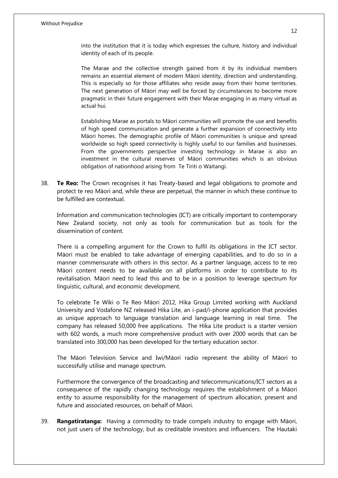into the institution that it is today which expresses the culture, history and individual identity of each of its people.

The Marae and the collective strength gained from it by its individual members remains an essential element of modern Māori identity, direction and understanding. This is especially so for those affiliates who reside away from their home territories. The next generation of Māori may well be forced by circumstances to become more pragmatic in their future engagement with their Marae engaging in as many virtual as actual hui.

Establishing Marae as portals to Māori communities will promote the use and benefits of high speed communication and generate a further expansion of connectivity into Māori homes. The demographic profile of Māori communities is unique and spread worldwide so high speed connectivity is highly useful to our families and businesses. From the governments perspective investing technology in Marae is also an investment in the cultural reserves of Māori communities which is an obvious obligation of nationhood arising from Te Tiriti o Waitangi.

38. **Te Reo:** The Crown recognises it has Treaty-based and legal obligations to promote and protect te reo Māori and, while these are perpetual, the manner in which these continue to be fulfilled are contextual.

Information and communication technologies (ICT) are critically important to contemporary New Zealand society, not only as tools for communication but as tools for the dissemination of content.

There is a compelling argument for the Crown to fulfil its obligations in the ICT sector. Māori must be enabled to take advantage of emerging capabilities, and to do so in a manner commensurate with others in this sector. As a partner language, access to te reo Māori content needs to be available on all platforms in order to contribute to its revitalisation. Māori need to lead this and to be in a position to leverage spectrum for linguistic, cultural, and economic development.

To celebrate Te Wiki o Te Reo Māori 2012, Hika Group Limited working with Auckland University and Vodafone NZ released Hika Lite, an i-pad/i-phone application that provides as unique approach to language translation and language learning in real time. The company has released 50,000 free applications. The Hika Lite product is a starter version with 602 words, a much more comprehensive product with over 2000 words that can be translated into 300,000 has been developed for the tertiary education sector.

The Māori Television Service and Iwi/Māori radio represent the ability of Māori to successfully utilise and manage spectrum.

Furthermore the convergence of the broadcasting and telecommunications/ICT sectors as a consequence of the rapidly changing technology requires the establishment of a Māori entity to assume responsibility for the management of spectrum allocation, present and future and associated resources, on behalf of Māori.

39. **Rangatiratanga:** Having a commodity to trade compels industry to engage with Māori, not just users of the technology, but as creditable investors and influencers. The Hautaki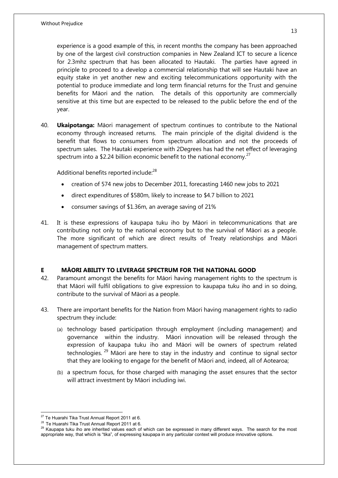experience is a good example of this, in recent months the company has been approached by one of the largest civil construction companies in New Zealand ICT to secure a licence for 2.3mhz spectrum that has been allocated to Hautaki. The parties have agreed in principle to proceed to a develop a commercial relationship that will see Hautaki have an equity stake in yet another new and exciting telecommunications opportunity with the potential to produce immediate and long term financial returns for the Trust and genuine benefits for Māori and the nation. The details of this opportunity are commercially sensitive at this time but are expected to be released to the public before the end of the year.

40. **Ukaipotanga:** Māori management of spectrum continues to contribute to the National economy through increased returns. The main principle of the digital dividend is the benefit that flows to consumers from spectrum allocation and not the proceeds of spectrum sales. The Hautaki experience with 2Degrees has had the net effect of leveraging spectrum into a \$2.24 billion economic benefit to the national economy.<sup>27</sup>

Additional benefits reported include:<sup>28</sup>

- creation of 574 new jobs to December 2011, forecasting 1460 new jobs to 2021
- direct expenditures of \$580m, likely to increase to \$4.7 billion to 2021
- consumer savings of \$1.36m, an average saving of 21%
- 41. It is these expressions of kaupapa tuku iho by Māori in telecommunications that are contributing not only to the national economy but to the survival of Māori as a people. The more significant of which are direct results of Treaty relationships and Māori management of spectrum matters.

#### **E MĀORI ABILITY TO LEVERAGE SPECTRUM FOR THE NATIONAL GOOD**

- 42. Paramount amongst the benefits for Māori having management rights to the spectrum is that Māori will fulfil obligations to give expression to kaupapa tuku iho and in so doing, contribute to the survival of Māori as a people.
- 43. There are important benefits for the Nation from Māori having management rights to radio spectrum they include:
	- (a) technology based participation through employment (including management) and governance within the industry. Māori innovation will be released through the expression of kaupapa tuku iho and Māori will be owners of spectrum related technologies.  $^{29}$  Māori are here to stay in the industry and continue to signal sector that they are looking to engage for the benefit of Māori and, indeed, all of Aotearoa;
	- (b) a spectrum focus, for those charged with managing the asset ensures that the sector will attract investment by Māori including iwi.

 $\overline{a}$ <sup>27</sup> Te Huarahi Tika Trust Annual Report 2011 at 6.

<sup>&</sup>lt;sup>28</sup> Te Huarahi Tika Trust Annual Report 2011 at 6.

<sup>&</sup>lt;sup>29</sup> Kaupapa tuku iho are inherited values each of which can be expressed in many different ways. The search for the most appropriate way, that which is "tika", of expressing kaupapa in any particular context will produce innovative options.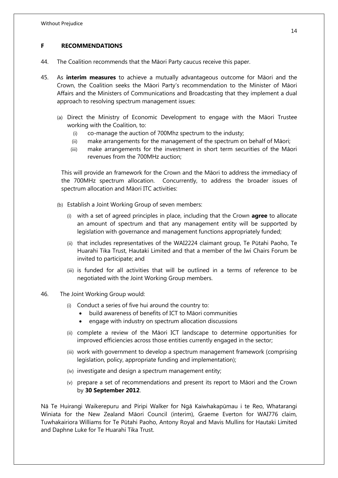#### **F RECOMMENDATIONS**

- 44. The Coalition recommends that the Māori Party caucus receive this paper.
- 45. As **interim measures** to achieve a mutually advantageous outcome for Māori and the Crown, the Coalition seeks the Māori Party's recommendation to the Minister of Māori Affairs and the Ministers of Communications and Broadcasting that they implement a dual approach to resolving spectrum management issues:
	- (a) Direct the Ministry of Economic Development to engage with the Māori Trustee working with the Coalition, to:
		- (i) co-manage the auction of 700Mhz spectrum to the industy;
		- (ii) make arrangements for the management of the spectrum on behalf of Māori;
		- (iii) make arrangements for the investment in short term securities of the Māori revenues from the 700MHz auction;

This will provide an framework for the Crown and the Māori to address the immediacy of the 700MHz spectrum allocation. Concurrently, to address the broader issues of spectrum allocation and Māori ITC activities:

- (b) Establish a Joint Working Group of seven members:
	- (i) with a set of agreed principles in place, including that the Crown **agree** to allocate an amount of spectrum and that any management entity will be supported by legislation with governance and management functions appropriately funded;
	- (ii) that includes representatives of the WAI2224 claimant group, Te Pūtahi Paoho, Te Huarahi Tika Trust, Hautaki Limited and that a member of the Iwi Chairs Forum be invited to participate; and
	- (iii) is funded for all activities that will be outlined in a terms of reference to be negotiated with the Joint Working Group members.
- 46. The Joint Working Group would:
	- (i) Conduct a series of five hui around the country to:
		- build awareness of benefits of ICT to Māori communities
		- engage with industry on spectrum allocation discussions
	- (ii) complete a review of the Māori ICT landscape to determine opportunities for improved efficiencies across those entities currently engaged in the sector;
	- (iii) work with government to develop a spectrum management framework (comprising legislation, policy, appropriate funding and implementation);
	- (iv) investigate and design a spectrum management entity;
	- (v) prepare a set of recommendations and present its report to Māori and the Crown by **30 September 2012**.

Nā Te Huirangi Waikerepuru and Piripi Walker for Ngā Kaiwhakapūmau i te Reo, Whatarangi Winiata for the New Zealand Māori Council (interim), Graeme Everton for WAI776 claim, Tuwhakairiora Williams for Te Pūtahi Paoho, Antony Royal and Mavis Mullins for Hautaki Limited and Daphne Luke for Te Huarahi Tika Trust.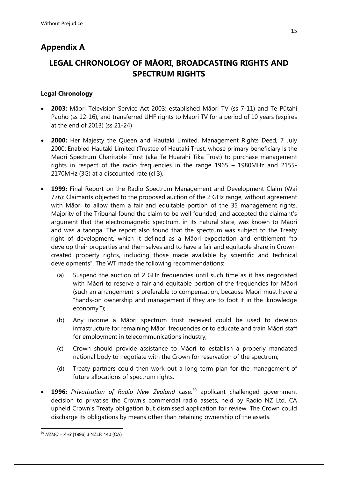### **Appendix A**

## **LEGAL CHRONOLOGY OF MĀORI, BROADCASTING RIGHTS AND SPECTRUM RIGHTS**

#### **Legal Chronology**

- **2003:** Māori Television Service Act 2003: established Māori TV (ss 7-11) and Te Pūtahi Paoho (ss 12-16), and transferred UHF rights to Māori TV for a period of 10 years (expires at the end of 2013) (ss 21-24)
- **2000:** Her Majesty the Queen and Hautaki Limited, Management Rights Deed, 7 July 2000: Enabled Hautaki Limited (Trustee of Hautaki Trust, whose primary beneficiary is the Māori Spectrum Charitable Trust (aka Te Huarahi Tika Trust) to purchase management rights in respect of the radio frequencies in the range 1965 – 1980MHz and 2155- 2170MHz (3G) at a discounted rate (cl 3).
- **1999:** Final Report on the Radio Spectrum Management and Development Claim (Wai 776): Claimants objected to the proposed auction of the 2 GHz range, without agreement with Māori to allow them a fair and equitable portion of the 35 management rights. Majority of the Tribunal found the claim to be well founded, and accepted the claimant's argument that the electromagnetic spectrum, in its natural state, was known to Māori and was a taonga. The report also found that the spectrum was subject to the Treaty right of development, which it defined as a Māori expectation and entitlement "to develop their properties and themselves and to have a fair and equitable share in Crowncreated property rights, including those made available by scientific and technical developments". The WT made the following recommendations:
	- (a) Suspend the auction of 2 GHz frequencies until such time as it has negotiated with Māori to reserve a fair and equitable portion of the frequencies for Māori (such an arrangement is preferable to compensation, because Māori must have a "hands-on ownership and management if they are to foot it in the 'knowledge economy'");
	- (b) Any income a Māori spectrum trust received could be used to develop infrastructure for remaining Māori frequencies or to educate and train Māori staff for employment in telecommunications industry;
	- (c) Crown should provide assistance to Māori to establish a properly mandated national body to negotiate with the Crown for reservation of the spectrum;
	- (d) Treaty partners could then work out a long-term plan for the management of future allocations of spectrum rights.
- **1996:** Privatisation of Radio New Zealand case:<sup>30</sup> applicant challenged government decision to privatise the Crown's commercial radio assets, held by Radio NZ Ltd. CA upheld Crown's Treaty obligation but dismissed application for review. The Crown could discharge its obligations by means other than retaining ownership of the assets.

 $\overline{a}$ <sup>30</sup> *NZMC – A-G* [1996] 3 NZLR 140 (CA)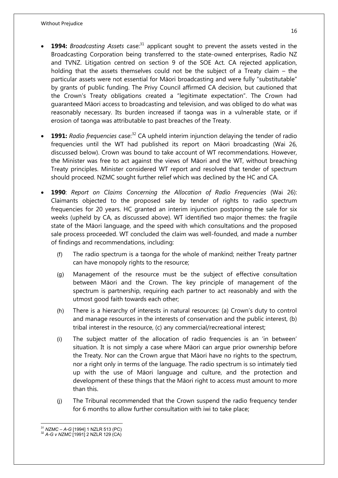- **1994:** Broadcasting Assets case.<sup>31</sup> applicant sought to prevent the assets vested in the Broadcasting Corporation being transferred to the state-owned enterprises, Radio NZ and TVNZ. Litigation centred on section 9 of the SOE Act. CA rejected application, holding that the assets themselves could not be the subject of a Treaty claim – the particular assets were not essential for Māori broadcasting and were fully "substitutable" by grants of public funding. The Privy Council affirmed CA decision, but cautioned that the Crown's Treaty obligations created a "legitimate expectation". The Crown had guaranteed Māori access to broadcasting and television, and was obliged to do what was reasonably necessary. Its burden increased if taonga was in a vulnerable state, or if erosion of taonga was attributable to past breaches of the Treaty.
- **1991:** *Radio frequencies* case:<sup>32</sup> CA upheld interim injunction delaying the tender of radio frequencies until the WT had published its report on Māori broadcasting (Wai 26, discussed below). Crown was bound to take account of WT recommendations. However, the Minister was free to act against the views of Māori and the WT, without breaching Treaty principles. Minister considered WT report and resolved that tender of spectrum should proceed. NZMC sought further relief which was declined by the HC and CA.
- **1990**: *Report on Claims Concerning the Allocation of Radio Frequencies* (Wai 26): Claimants objected to the proposed sale by tender of rights to radio spectrum frequencies for 20 years. HC granted an interim injunction postponing the sale for six weeks (upheld by CA, as discussed above). WT identified two major themes: the fragile state of the Māori language, and the speed with which consultations and the proposed sale process proceeded. WT concluded the claim was well-founded, and made a number of findings and recommendations, including:
	- (f) The radio spectrum is a taonga for the whole of mankind; neither Treaty partner can have monopoly rights to the resource;
	- (g) Management of the resource must be the subject of effective consultation between Māori and the Crown. The key principle of management of the spectrum is partnership, requiring each partner to act reasonably and with the utmost good faith towards each other;
	- (h) There is a hierarchy of interests in natural resources: (a) Crown's duty to control and manage resources in the interests of conservation and the public interest, (b) tribal interest in the resource, (c) any commercial/recreational interest;
	- (i) The subject matter of the allocation of radio frequencies is an 'in between' situation. It is not simply a case where Māori can argue prior ownership before the Treaty. Nor can the Crown argue that Māori have no rights to the spectrum, nor a right only in terms of the language. The radio spectrum is so intimately tied up with the use of Māori language and culture, and the protection and development of these things that the Māori right to access must amount to more than this.
	- (j) The Tribunal recommended that the Crown suspend the radio frequency tender for 6 months to allow further consultation with iwi to take place;

1

<sup>31</sup> *NZMC – A-G* [1994] 1 NZLR 513 (PC)

<sup>32</sup> *A-G v NZMC* [1991] 2 NZLR 129 (CA)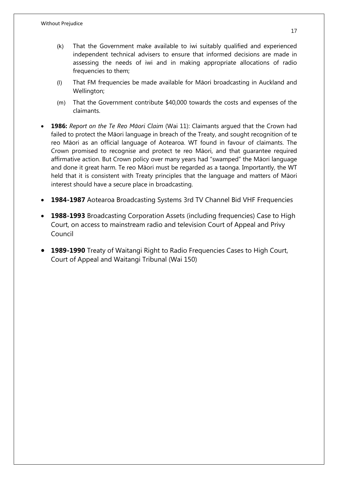- (k) That the Government make available to iwi suitably qualified and experienced independent technical advisers to ensure that informed decisions are made in assessing the needs of iwi and in making appropriate allocations of radio frequencies to them;
- (l) That FM frequencies be made available for Māori broadcasting in Auckland and Wellington;
- (m) That the Government contribute \$40,000 towards the costs and expenses of the claimants.
- **1986:** *Report on the Te Reo Māori Claim* (Wai 11): Claimants argued that the Crown had failed to protect the Māori language in breach of the Treaty, and sought recognition of te reo Māori as an official language of Aotearoa. WT found in favour of claimants. The Crown promised to recognise and protect te reo Māori, and that guarantee required affirmative action. But Crown policy over many years had "swamped" the Māori language and done it great harm. Te reo Māori must be regarded as a taonga. Importantly, the WT held that it is consistent with Treaty principles that the language and matters of Māori interest should have a secure place in broadcasting.
- **1984-1987** Aotearoa Broadcasting Systems 3rd TV Channel Bid VHF Frequencies
- **1988-1993** Broadcasting Corporation Assets (including frequencies) Case to High Court, on access to mainstream radio and television Court of Appeal and Privy Council
- **1989-1990** Treaty of Waitangi Right to Radio Frequencies Cases to High Court, Court of Appeal and Waitangi Tribunal (Wai 150)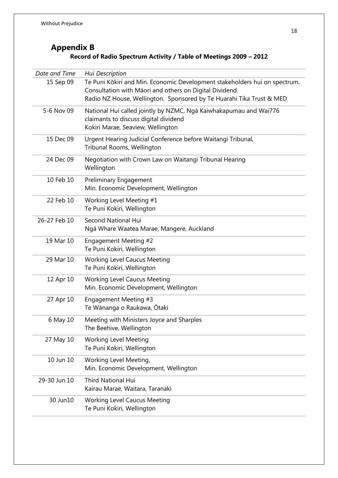## **Appendix B Record of Radio Spectrum Activity / Table of Meetings 2009 – 2012**

| Date and Time | Hui Description                                                                                                                                                                                               |
|---------------|---------------------------------------------------------------------------------------------------------------------------------------------------------------------------------------------------------------|
| 15 Sep 09     | Te Puni Kōkiri and Min. Economic Development stakeholders hui on spectrum.<br>Consultation with Māori and others on Digital Dividend.<br>Radio NZ House, Wellington. Sponsored by Te Huarahi Tika Trust & MED |
| 5-6 Nov 09    | National Hui called jointly by NZMC, Ngā Kaiwhakapumau and Wai776<br>claimants to discuss digital dividend<br>Kokiri Marae, Seaview, Wellington                                                               |
| 15 Dec 09     | Urgent Hearing Judicial Conference before Waitangi Tribunal,<br>Tribunal Rooms, Wellington                                                                                                                    |
| 24 Dec 09     | Negotiation with Crown Law on Waitangi Tribunal Hearing<br>Wellington                                                                                                                                         |
| 10 Feb 10     | <b>Preliminary Engagement</b><br>Min. Economic Development, Wellington                                                                                                                                        |
| 22 Feb 10     | Working Level Meeting #1<br>Te Puni Kokiri, Wellington                                                                                                                                                        |
| 26-27 Feb 10  | <b>Second National Hui</b><br>Ngā Whare Waatea Marae, Mangere, Auckland                                                                                                                                       |
| 19 Mar 10     | Engagement Meeting #2<br>Te Puni Kokiri, Wellington                                                                                                                                                           |
| 29 Mar 10     | <b>Working Level Caucus Meeting</b><br>Te Puni Kokiri, Wellington                                                                                                                                             |
| 12 Apr 10     | <b>Working Level Caucus Meeting</b><br>Min. Economic Development, Wellington                                                                                                                                  |
| 27 Apr 10     | Engagement Meeting #3<br>Te Wānanga o Raukawa, Ōtaki                                                                                                                                                          |
| 6 May 10      | Meeting with Ministers Joyce and Sharples<br>The Beehive, Wellington                                                                                                                                          |
| 27 May 10     | <b>Working Level Meeting</b><br>Te Puni Kokiri, Wellington                                                                                                                                                    |
| 10 Jun 10     | Working Level Meeting,<br>Min. Economic Development, Wellington                                                                                                                                               |
| 29-30 Jun 10  | <b>Third National Hui</b><br>Kairau Marae, Waitara, Taranaki                                                                                                                                                  |
| 30 Jun10      | <b>Working Level Caucus Meeting</b><br>Te Puni Kokiri, Wellington                                                                                                                                             |